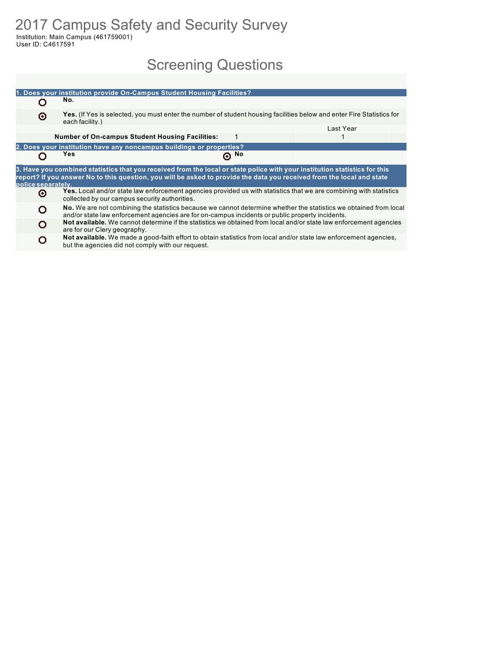2017 Campus Safety and Security Survey Institution: Main Campus (461759001)

User ID: C4617591

# Screening Questions

|                    |                                                                                                                                                                                                                      | 1. Does your institution provide On-Campus Student Housing Facilities? |            |                                                                                                                                                                                                                                                      |  |  |  |  |  |  |  |
|--------------------|----------------------------------------------------------------------------------------------------------------------------------------------------------------------------------------------------------------------|------------------------------------------------------------------------|------------|------------------------------------------------------------------------------------------------------------------------------------------------------------------------------------------------------------------------------------------------------|--|--|--|--|--|--|--|
|                    | No.                                                                                                                                                                                                                  |                                                                        |            |                                                                                                                                                                                                                                                      |  |  |  |  |  |  |  |
| ⊙                  | each facility.)                                                                                                                                                                                                      |                                                                        |            | Yes. (If Yes is selected, you must enter the number of student housing facilities below and enter Fire Statistics for                                                                                                                                |  |  |  |  |  |  |  |
|                    |                                                                                                                                                                                                                      |                                                                        |            | Last Year                                                                                                                                                                                                                                            |  |  |  |  |  |  |  |
|                    | <b>Number of On-campus Student Housing Facilities:</b>                                                                                                                                                               |                                                                        | 1          |                                                                                                                                                                                                                                                      |  |  |  |  |  |  |  |
|                    |                                                                                                                                                                                                                      | 2. Does your institution have any noncampus buildings or properties?   |            |                                                                                                                                                                                                                                                      |  |  |  |  |  |  |  |
|                    | Yes                                                                                                                                                                                                                  |                                                                        | $\odot$ No |                                                                                                                                                                                                                                                      |  |  |  |  |  |  |  |
| police separately. |                                                                                                                                                                                                                      |                                                                        |            | 3. Have you combined statistics that you received from the local or state police with your institution statistics for this<br>report? If you answer No to this question, you will be asked to provide the data you received from the local and state |  |  |  |  |  |  |  |
| Θ                  | collected by our campus security authorities.                                                                                                                                                                        |                                                                        |            | Yes. Local and/or state law enforcement agencies provided us with statistics that we are combining with statistics                                                                                                                                   |  |  |  |  |  |  |  |
| O                  | No. We are not combining the statistics because we cannot determine whether the statistics we obtained from local<br>and/or state law enforcement agencies are for on-campus incidents or public property incidents. |                                                                        |            |                                                                                                                                                                                                                                                      |  |  |  |  |  |  |  |
| Ω                  | are for our Clery geography.                                                                                                                                                                                         |                                                                        |            | Not available. We cannot determine if the statistics we obtained from local and/or state law enforcement agencies                                                                                                                                    |  |  |  |  |  |  |  |
|                    | but the agencies did not comply with our request.                                                                                                                                                                    |                                                                        |            | Not available. We made a good-faith effort to obtain statistics from local and/or state law enforcement agencies,                                                                                                                                    |  |  |  |  |  |  |  |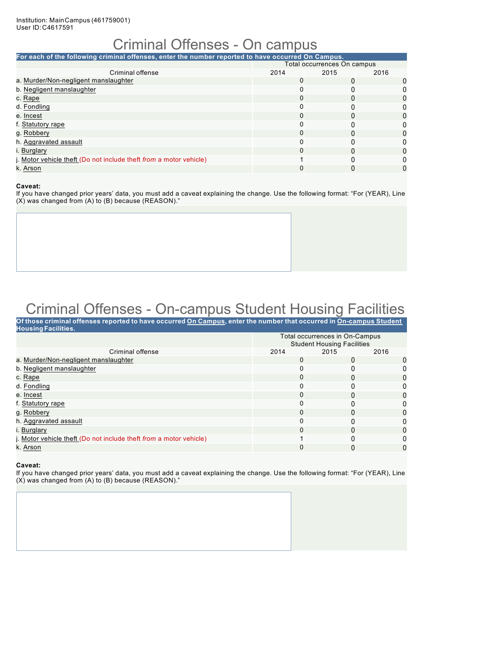### Criminal Offenses - On campus

| For each of the following criminal offenses, enter the number reported to have occurred On Campus. |          |                             |      |  |  |  |  |  |  |
|----------------------------------------------------------------------------------------------------|----------|-----------------------------|------|--|--|--|--|--|--|
|                                                                                                    |          | Total occurrences On campus |      |  |  |  |  |  |  |
| Criminal offense                                                                                   | 2014     | 2015                        | 2016 |  |  |  |  |  |  |
| a. Murder/Non-negligent manslaughter                                                               | $\Omega$ |                             | 0    |  |  |  |  |  |  |
| b. Negligent manslaughter                                                                          | 0        |                             |      |  |  |  |  |  |  |
| c. Rape                                                                                            | 0        |                             |      |  |  |  |  |  |  |
| d. Fondling                                                                                        | 0        |                             |      |  |  |  |  |  |  |
| e. Incest                                                                                          | 0        |                             | 0    |  |  |  |  |  |  |
| f. Statutory rape                                                                                  | 0        |                             |      |  |  |  |  |  |  |
| g. Robbery                                                                                         | 0        | U                           | 0    |  |  |  |  |  |  |
| h. Aggravated assault                                                                              | $\Omega$ |                             |      |  |  |  |  |  |  |
| i. Burglary                                                                                        | 0        |                             | 0    |  |  |  |  |  |  |
| j. Motor vehicle theft (Do not include theft from a motor vehicle)                                 |          |                             |      |  |  |  |  |  |  |
| k. Arson                                                                                           | 0        |                             | 0    |  |  |  |  |  |  |

#### **Caveat:**

If you have changed prior years' data, you must add a caveat explaining the change. Use the following format: "For (YEAR), Line (X) was changed from (A) to (B) because (REASON)."

# Criminal Offenses - On-campus Student Housing Facilities

| Of those criminal offenses reported to have occurred On Campus, enter the number that occurred in On-campus Student<br><b>Housing Facilities.</b> |          |                                                                     |      |
|---------------------------------------------------------------------------------------------------------------------------------------------------|----------|---------------------------------------------------------------------|------|
|                                                                                                                                                   |          | Total occurrences in On-Campus<br><b>Student Housing Facilities</b> |      |
| Criminal offense                                                                                                                                  | 2014     | 2015                                                                | 2016 |
| a. Murder/Non-negligent manslaughter                                                                                                              | 0        | O                                                                   | O    |
| b. Negligent manslaughter                                                                                                                         | 0        | 0                                                                   |      |
| c. Rape                                                                                                                                           | 0        | 0                                                                   |      |
| d. Fondling                                                                                                                                       | 0        | 0                                                                   | 0    |
| e. Incest                                                                                                                                         | $\Omega$ | $\Omega$                                                            | 0    |
| f. Statutory rape                                                                                                                                 | 0        |                                                                     | 0    |
| g. Robbery                                                                                                                                        | $\Omega$ | 0                                                                   | O    |
| h. Aggravated assault                                                                                                                             | 0        |                                                                     | ი    |
| i. Burglary                                                                                                                                       | 0        | $\Omega$                                                            | 0    |
| j. Motor vehicle theft (Do not include theft from a motor vehicle)                                                                                |          | 0                                                                   |      |
| k. Arson                                                                                                                                          | 0        | 0                                                                   | 0    |
|                                                                                                                                                   |          |                                                                     |      |

#### **Caveat:**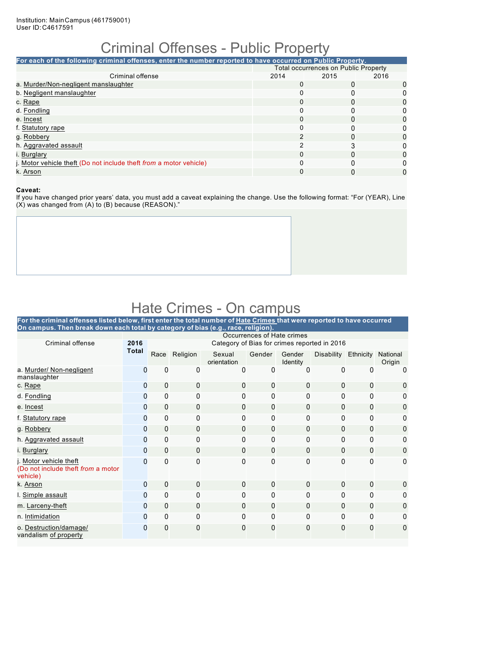### Criminal Offenses - Public Property

**For each of the following criminal offenses, enter the number reported to have occurred on Public Property.** Total occurrences on Public Property<br>014 2015 2016 Criminal offense 2014 2015<br>
2015 2015 2016 2016 a. Murder/Non-negligent manslaughter 0 0 0 b. Negligent manslaughter c. Rape 0 0 0 d. Fondling 0 0 0 e. Incest 0 0 0 f. Statutory rape 0 0 0 g. Robbery 2 0 0 h. Aggravated assault 2 3 0 i. Burglary 0 0 0 j. Motor vehicle theft (Do not include theft *from* a motor vehicle) 0 0 0 k. Arson 0 0 0

#### **Caveat:**

If you have changed prior years' data, you must add a caveat explaining the change. Use the following format: "For (YEAR), Line (X) was changed from (A) to (B) because (REASON)."

## Hate Crimes - On campus

| For the criminal offenses listed below, first enter the total number of Hate Crimes that were reported to have occurred<br>On campus. Then break down each total by category of bias (e.g., race, religion). |              |                                                                            |               |                       |              |                    |                      |          |                    |  |  |  |  |
|--------------------------------------------------------------------------------------------------------------------------------------------------------------------------------------------------------------|--------------|----------------------------------------------------------------------------|---------------|-----------------------|--------------|--------------------|----------------------|----------|--------------------|--|--|--|--|
|                                                                                                                                                                                                              |              | Occurrences of Hate crimes<br>Category of Bias for crimes reported in 2016 |               |                       |              |                    |                      |          |                    |  |  |  |  |
| Criminal offense                                                                                                                                                                                             | 2016         |                                                                            |               |                       |              |                    |                      |          |                    |  |  |  |  |
|                                                                                                                                                                                                              | <b>Total</b> |                                                                            | Race Religion | Sexual<br>orientation | Gender       | Gender<br>Identity | Disability Ethnicity |          | National<br>Origin |  |  |  |  |
| a. Murder/ Non-negligent<br>manslaughter                                                                                                                                                                     | 0            | 0                                                                          | 0             | 0                     | 0            | 0                  | 0                    | 0        | 0                  |  |  |  |  |
| c. Rape                                                                                                                                                                                                      | $\mathbf{0}$ | $\mathbf{0}$                                                               | $\mathbf{0}$  | $\mathbf{0}$          | $\mathbf{0}$ | $\mathbf{0}$       | $\Omega$             | 0        | 0                  |  |  |  |  |
| d. Fondling                                                                                                                                                                                                  | 0            | 0                                                                          | 0             | 0                     | 0            | $\mathbf{0}$       | 0                    | 0        | 0                  |  |  |  |  |
| e. Incest                                                                                                                                                                                                    | $\mathbf{0}$ | $\mathbf{0}$                                                               | 0             | 0                     | $\Omega$     | $\mathbf{0}$       | 0                    | 0        | 0                  |  |  |  |  |
| f. Statutory rape                                                                                                                                                                                            | $\mathbf 0$  | 0                                                                          | 0             | $\Omega$              | 0            | 0                  | 0                    | 0        | 0                  |  |  |  |  |
| g. Robbery                                                                                                                                                                                                   | 0            | $\mathbf 0$                                                                | 0             | 0                     | $\mathbf{0}$ | 0                  | $\mathbf{0}$         | 0        | 0                  |  |  |  |  |
| h. Aggravated assault                                                                                                                                                                                        | $\Omega$     | $\mathbf{0}$                                                               | 0             | 0                     | $\Omega$     | $\Omega$           | 0                    | $\Omega$ | 0                  |  |  |  |  |
| i. Burglary                                                                                                                                                                                                  | $\mathbf{0}$ | $\mathbf{0}$                                                               | $\mathbf{0}$  | 0                     | $\Omega$     | $\Omega$           | $\mathbf{0}$         | 0        | $\mathbf{0}$       |  |  |  |  |
| i. Motor vehicle theft<br>(Do not include theft from a motor<br>vehicle)                                                                                                                                     | 0            | $\mathbf{0}$                                                               | 0             | $\Omega$              | 0            | $\mathbf{0}$       | 0                    | 0        | $\mathbf{0}$       |  |  |  |  |
| k. Arson                                                                                                                                                                                                     | $\mathbf{0}$ | $\Omega$                                                                   | $\Omega$      | $\mathbf{0}$          | $\mathbf{0}$ | $\mathbf{0}$       | $\Omega$             | $\Omega$ | 0                  |  |  |  |  |
| I. Simple assault                                                                                                                                                                                            | 0            | $\mathbf 0$                                                                | 0             | $\Omega$              | 0            | 0                  | 0                    | 0        | 0                  |  |  |  |  |
| m. Larceny-theft                                                                                                                                                                                             | 0            | $\mathbf{0}$                                                               | 0             | $\mathbf{0}$          | $\mathbf{0}$ | $\mathbf{0}$       | $\mathbf{0}$         | $\Omega$ | 0                  |  |  |  |  |
| n. Intimidation                                                                                                                                                                                              | U            | $\mathbf{0}$                                                               | 0             | $\Omega$              | $\Omega$     | $\Omega$           | 0                    | $\Omega$ | 0                  |  |  |  |  |
| o. Destruction/damage/<br>vandalism of property                                                                                                                                                              | 0            | $\mathbf 0$                                                                | 0             | 0                     | 0            | $\mathbf{0}$       | 0                    | 0        | 0                  |  |  |  |  |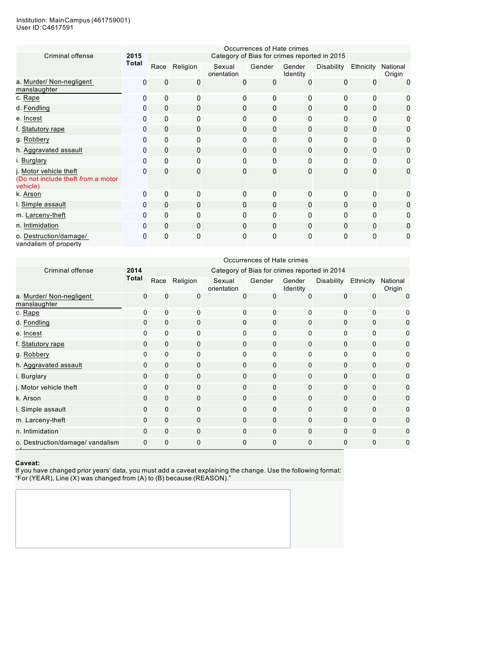#### Institution: MainCampus (461759001) User ID:C4617591

|                                                                          | Occurrences of Hate crimes<br>Category of Bias for crimes reported in 2015 |              |                |                       |              |                    |              |              |                    |  |  |  |
|--------------------------------------------------------------------------|----------------------------------------------------------------------------|--------------|----------------|-----------------------|--------------|--------------------|--------------|--------------|--------------------|--|--|--|
| Criminal offense                                                         | 2015                                                                       |              |                |                       |              |                    |              |              |                    |  |  |  |
|                                                                          | Total                                                                      | Race         | Religion       | Sexual<br>orientation | Gender       | Gender<br>Identity | Disability   | Ethnicity    | National<br>Origin |  |  |  |
| a. Murder/ Non-negligent<br>manslaughter                                 | 0                                                                          | 0            | $\overline{0}$ | $\mathbf{0}$          | $\mathbf{0}$ | $\mathbf{0}$       | $\mathbf{0}$ | 0            | $\mathbf{0}$       |  |  |  |
| c. Rape                                                                  | 0                                                                          | $\mathbf 0$  | $\Omega$       | 0                     | $\mathbf{0}$ | $\mathbf{0}$       | 0            | $\mathbf{0}$ | 0                  |  |  |  |
| d. Fondling                                                              | 0                                                                          | $\mathbf 0$  | $\mathbf 0$    | $\Omega$              | $\mathbf{0}$ | $\mathbf{0}$       | $\Omega$     | $\mathbf{0}$ | 0                  |  |  |  |
| e. Incest                                                                | 0                                                                          | $\mathbf 0$  | $\mathbf 0$    | $\mathbf{0}$          | $\mathbf{0}$ | $\mathbf{0}$       | 0            | $\mathbf{0}$ | 0                  |  |  |  |
| f. Statutory rape                                                        | 0                                                                          | $\mathbf 0$  | $\mathbf 0$    | $\Omega$              | $\mathbf{0}$ | $\mathbf{0}$       | 0            | $\mathbf{0}$ | 0                  |  |  |  |
| g. Robbery                                                               | 0                                                                          | 0            | 0              | 0                     | 0            | 0                  | 0            | $\mathbf{0}$ | 0                  |  |  |  |
| h. Aggravated assault                                                    | 0                                                                          | $\mathbf 0$  | $\mathbf 0$    | $\Omega$              | $\mathbf 0$  | $\mathbf{0}$       | 0            | $\mathbf{0}$ | 0                  |  |  |  |
| i. Burglary                                                              | 0                                                                          | $\mathbf 0$  | $\mathbf{0}$   | $\Omega$              | $\mathbf{0}$ | $\Omega$           | 0            | $\Omega$     | 0                  |  |  |  |
| j. Motor vehicle theft<br>(Do not include theft from a motor<br>vehicle) | 0                                                                          | $\mathbf 0$  | $\mathbf{0}$   | $\Omega$              | $\mathbf{0}$ | $\mathbf{0}$       | $\mathbf{0}$ | 0            | 0                  |  |  |  |
| k. Arson                                                                 | 0                                                                          | $\mathbf 0$  | $\mathbf{0}$   | $\Omega$              | $\Omega$     | $\Omega$           | 0            | $\Omega$     | O                  |  |  |  |
| I. Simple assault                                                        | 0                                                                          | $\mathbf 0$  | $\mathbf 0$    | $\Omega$              | $\mathbf 0$  | $\mathbf{0}$       | $\Omega$     | $\Omega$     | 0                  |  |  |  |
| m. Larceny-theft                                                         | 0                                                                          | $\mathbf{0}$ | 0              | $\Omega$              | $\Omega$     | $\mathbf{0}$       | 0            | $\Omega$     | 0                  |  |  |  |
| n. Intimidation                                                          | 0                                                                          | $\mathbf 0$  | $\mathbf{0}$   | $\Omega$              | $\Omega$     | $\mathbf{0}$       | $\mathbf{0}$ | $\Omega$     | 0                  |  |  |  |
| o. Destruction/damage/<br>vandalism of property                          | 0                                                                          | $\mathbf 0$  | 0              | $\mathbf{0}$          | $\Omega$     | $\mathbf{0}$       | 0            | $\Omega$     | 0                  |  |  |  |

|                                          |              | Occurrences of Hate crimes |               |                                              |              |                    |            |             |                    |  |  |  |  |  |
|------------------------------------------|--------------|----------------------------|---------------|----------------------------------------------|--------------|--------------------|------------|-------------|--------------------|--|--|--|--|--|
| Criminal offense                         | 2014         |                            |               | Category of Bias for crimes reported in 2014 |              |                    |            |             |                    |  |  |  |  |  |
|                                          | <b>Total</b> |                            | Race Religion | Sexual<br>orientation                        | Gender       | Gender<br>Identity | Disability | Ethnicity   | National<br>Origin |  |  |  |  |  |
| a. Murder/ Non-negligent<br>manslaughter | $\Omega$     | $\mathbf 0$                | 0             | $\Omega$                                     | $\Omega$     | 0                  | 0          | 0           | $\Omega$           |  |  |  |  |  |
| c. Rape                                  | 0            | 0                          | 0             | 0                                            | $\Omega$     | 0                  | 0          | 0           |                    |  |  |  |  |  |
| d. Fondling                              | 0            | $\mathbf 0$                | 0             | 0                                            | $\mathbf 0$  | $\mathbf 0$        | 0          | $\mathbf 0$ | 0                  |  |  |  |  |  |
| e. Incest                                | $\Omega$     | $\mathbf 0$                | 0             | 0                                            | $\mathbf 0$  | $\Omega$           | 0          | $\Omega$    | 0                  |  |  |  |  |  |
| f. Statutory rape                        | $\Omega$     | $\mathbf 0$                | 0             | 0                                            | 0            | $\mathbf 0$        | 0          | $\Omega$    | 0                  |  |  |  |  |  |
| g. Robbery                               | 0            | $\mathbf 0$                | 0             | 0                                            | $\Omega$     | $\Omega$           | 0          | $\Omega$    | 0                  |  |  |  |  |  |
| h. Aggravated assault                    | $\Omega$     | $\mathbf 0$                | 0             | 0                                            | $\mathbf{0}$ | $\mathbf 0$        | 0          | $\Omega$    | 0                  |  |  |  |  |  |
| i. Burglary                              | 0            | $\mathbf 0$                | 0             | 0                                            | $\mathbf{0}$ | $\mathbf 0$        | 0          | 0           | 0                  |  |  |  |  |  |
| j. Motor vehicle theft                   | $\mathbf 0$  | $\mathbf 0$                | $\mathbf 0$   | $\mathbf 0$                                  | $\mathbf{0}$ | $\mathbf 0$        | 0          | $\Omega$    | 0                  |  |  |  |  |  |
| k. Arson                                 | $\mathbf 0$  | $\mathbf{0}$               | 0             | $\mathbf 0$                                  | $\mathbf{0}$ | $\mathbf 0$        | 0          | $\Omega$    | 0                  |  |  |  |  |  |
| I. Simple assault                        | $\mathbf 0$  | $\mathbf 0$                | $\mathbf 0$   | $\Omega$                                     | $\mathbf{0}$ | $\Omega$           | $\Omega$   | $\Omega$    | $\Omega$           |  |  |  |  |  |
| m. Larceny-theft                         | 0            | $\mathbf 0$                | $\mathbf 0$   | $\Omega$                                     | $\mathbf{0}$ | $\mathbf 0$        | $\Omega$   | $\Omega$    | 0                  |  |  |  |  |  |
| n. Intimidation                          | $\Omega$     | $\mathbf 0$                | $\Omega$      | $\Omega$                                     | $\Omega$     | $\Omega$           | $\Omega$   | $\Omega$    | $\Omega$           |  |  |  |  |  |
| o. Destruction/damage/ vandalism         | 0            | $\mathbf 0$                | 0             | 0                                            | $\mathbf 0$  | 0                  | 0          | 0           | 0                  |  |  |  |  |  |

#### **Caveat:**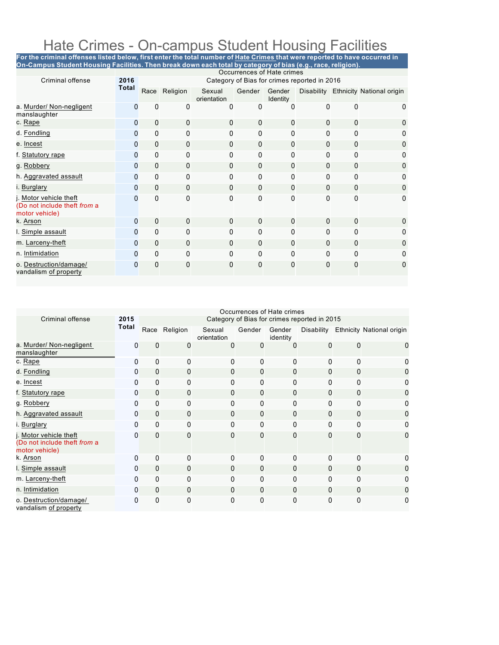### Hate Crimes - On-campus Student Housing Facilities

For the criminal offenses listed below, first enter the total number of <u>Hate Crimes t</u>hat were reported to have occurred in **On-Campus Student Housing Facilities. Then break down each total by category of bias (e.g., race, religion).**

|                                                                          |              | Occurrences of Hate crimes |              |                       |              |                           |                                              |              |                                      |  |  |
|--------------------------------------------------------------------------|--------------|----------------------------|--------------|-----------------------|--------------|---------------------------|----------------------------------------------|--------------|--------------------------------------|--|--|
| Criminal offense                                                         | 2016         |                            |              |                       |              |                           | Category of Bias for crimes reported in 2016 |              |                                      |  |  |
|                                                                          | <b>Total</b> | Race                       | Religion     | Sexual<br>orientation | Gender       | Gender<br><b>Identity</b> |                                              |              | Disability Ethnicity National origin |  |  |
| a. Murder/ Non-negligent<br>manslaughter                                 | $\Omega$     | $\mathbf 0$                | 0            | 0                     | 0            | 0                         | 0                                            | 0            | 0                                    |  |  |
| c. Rape                                                                  | $\mathbf{0}$ | $\mathbf{0}$               | $\mathbf{0}$ | $\Omega$              | $\mathbf{0}$ | $\mathbf{0}$              | $\Omega$                                     | $\Omega$     | 0                                    |  |  |
| d. Fondling                                                              | $\mathbf{0}$ | $\mathbf{0}$               | $\mathbf{0}$ | 0                     | 0            | $\mathbf{0}$              | $\Omega$                                     | $\mathbf{0}$ | 0                                    |  |  |
| e. Incest                                                                | $\mathbf{0}$ | $\mathbf{0}$               | $\Omega$     | $\Omega$              | 0            | $\mathbf{0}$              | 0                                            | $\Omega$     | 0                                    |  |  |
| f. Statutory rape                                                        | $\Omega$     | $\Omega$                   | $\Omega$     | $\Omega$              | 0            | $\mathbf{0}$              | $\Omega$                                     | $\mathbf{0}$ | 0                                    |  |  |
| g. Robbery                                                               | 0            | $\Omega$                   | $\Omega$     | $\Omega$              | $\mathbf{0}$ | $\mathbf{0}$              | 0                                            | $\Omega$     | 0                                    |  |  |
| h. Aggravated assault                                                    | 0            | $\mathbf{0}$               | 0            | $\mathbf{0}$          | 0            | $\mathbf{0}$              | 0                                            | $\mathbf{0}$ | 0                                    |  |  |
| i. Burglary                                                              | 0            | $\Omega$                   | $\Omega$     | $\Omega$              | 0            | $\mathbf{0}$              | 0                                            | $\Omega$     | $\mathbf{0}$                         |  |  |
| j. Motor vehicle theft<br>(Do not include theft from a<br>motor vehicle) | $\Omega$     | $\mathbf{0}$               | $\mathbf{0}$ | $\mathbf{0}$          | 0            | $\mathbf{0}$              | 0                                            | $\mathbf{0}$ | $\mathbf 0$                          |  |  |
| k. Arson                                                                 | $\mathbf{0}$ | $\mathbf{0}$               | $\mathbf{0}$ | $\Omega$              | $\mathbf{0}$ | $\mathbf{0}$              | $\Omega$                                     | $\Omega$     | 0                                    |  |  |
| I. Simple assault                                                        | $\Omega$     | $\Omega$                   | $\Omega$     | $\Omega$              | 0            | $\mathbf{0}$              | $\Omega$                                     | $\Omega$     | $\Omega$                             |  |  |
| m. Larceny-theft                                                         | $\Omega$     | $\mathbf{0}$               | $\Omega$     | $\Omega$              | $\Omega$     | $\Omega$                  | 0                                            | $\Omega$     | 0                                    |  |  |
| n. Intimidation                                                          | $\Omega$     | $\mathbf{0}$               | $\mathbf{0}$ | $\Omega$              | 0            | $\Omega$                  | $\Omega$                                     | $\mathbf{0}$ | 0                                    |  |  |
| o. Destruction/damage/<br>vandalism of property                          | 0            | $\mathbf{0}$               | $\mathbf{0}$ | 0                     | 0            | $\mathbf{0}$              | 0                                            | $\mathbf{0}$ | $\mathbf{0}$                         |  |  |

|                                                                          | Occurrences of Hate crimes |              |               |                       |              |                    |                                              |              |                                      |  |
|--------------------------------------------------------------------------|----------------------------|--------------|---------------|-----------------------|--------------|--------------------|----------------------------------------------|--------------|--------------------------------------|--|
| <b>Criminal offense</b>                                                  | 2015                       |              |               |                       |              |                    | Category of Bias for crimes reported in 2015 |              |                                      |  |
|                                                                          | <b>Total</b>               |              | Race Religion | Sexual<br>orientation | Gender       | Gender<br>identity |                                              |              | Disability Ethnicity National origin |  |
| a. Murder/ Non-negligent<br>manslaughter                                 | 0                          | $\mathbf{0}$ | $\mathbf{0}$  | 0                     | 0            | 0                  | 0                                            | $\mathbf{0}$ | 0                                    |  |
| c. Rape                                                                  | $\mathbf{0}$               | 0            | 0             | 0                     | $\mathbf{0}$ | 0                  | $\mathbf{0}$                                 | 0            | 0                                    |  |
| d. Fondling                                                              | 0                          | $\mathbf{0}$ | 0             | 0                     | $\mathbf 0$  | $\mathbf 0$        | $\mathbf{0}$                                 | 0            | 0                                    |  |
| e. Incest                                                                | 0                          | $\Omega$     | $\Omega$      | 0                     | $\mathbf{0}$ | $\Omega$           | $\Omega$                                     | 0            | 0                                    |  |
| f. Statutory rape                                                        | 0                          | $\Omega$     | $\mathbf{0}$  | 0                     | $\Omega$     | $\Omega$           | 0                                            | 0            | 0                                    |  |
| g. Robbery                                                               | 0                          | 0            | $\Omega$      | $\Omega$              | 0            | $\Omega$           | $\Omega$                                     | 0            | 0                                    |  |
| h. Aggravated assault                                                    | $\Omega$                   | $\mathbf{0}$ | $\mathbf{0}$  | $\mathbf{0}$          | $\mathbf{0}$ | $\Omega$           | $\Omega$                                     | $\mathbf{0}$ | 0                                    |  |
| i. Burglary                                                              | $\Omega$                   | $\Omega$     | $\Omega$      | $\Omega$              | $\mathbf{0}$ | $\Omega$           | $\Omega$                                     | 0            | 0                                    |  |
| j. Motor vehicle theft<br>(Do not include theft from a<br>motor vehicle) | 0                          | $\Omega$     | $\Omega$      | 0                     | $\mathbf{0}$ | $\Omega$           | $\mathbf{0}$                                 | $\mathbf{0}$ | 0                                    |  |
| k. Arson                                                                 | $\Omega$                   | $\Omega$     | $\Omega$      | $\Omega$              | $\mathbf{0}$ | $\Omega$           | $\Omega$                                     | 0            | o                                    |  |
| I. Simple assault                                                        | $\Omega$                   | $\mathbf{0}$ | $\mathbf{0}$  | $\mathbf{0}$          | $\mathbf{0}$ | $\Omega$           | $\Omega$                                     | $\mathbf{0}$ | 0                                    |  |
| m. Larceny-theft                                                         | 0                          | $\Omega$     | $\Omega$      | $\Omega$              | $\Omega$     | $\Omega$           | $\Omega$                                     | 0            | 0                                    |  |
| n. Intimidation                                                          | 0                          | $\mathbf{0}$ | $\mathbf{0}$  | 0                     | $\mathbf{0}$ | $\mathbf{0}$       | $\Omega$                                     | 0            | 0                                    |  |
| o. Destruction/damage/<br>vandalism of property                          | 0                          | $\mathbf{0}$ | $\Omega$      | 0                     | $\mathbf{0}$ | $\Omega$           | $\mathbf{0}$                                 | 0            | 0                                    |  |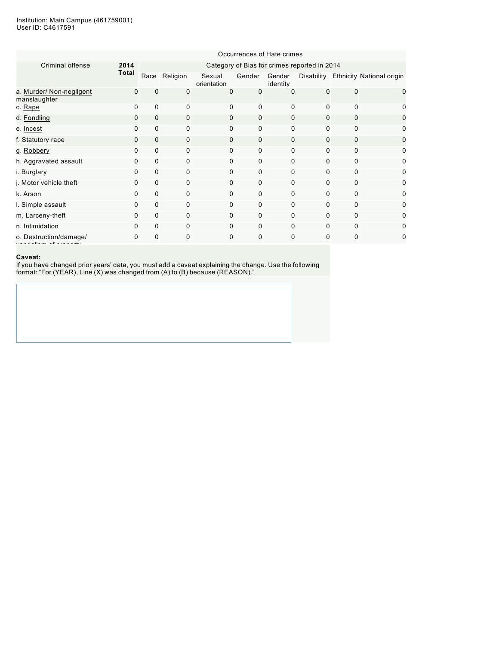|                                          | Occurrences of Hate crimes |             |               |                       |             |                    |                                              |             |                                      |  |  |  |
|------------------------------------------|----------------------------|-------------|---------------|-----------------------|-------------|--------------------|----------------------------------------------|-------------|--------------------------------------|--|--|--|
| Criminal offense                         | 2014                       |             |               |                       |             |                    | Category of Bias for crimes reported in 2014 |             |                                      |  |  |  |
|                                          | <b>Total</b>               |             | Race Religion | Sexual<br>orientation | Gender      | Gender<br>identity |                                              |             | Disability Ethnicity National origin |  |  |  |
| a. Murder/ Non-negligent<br>manslaughter | $\Omega$                   | $\Omega$    | 0             | 0                     | 0           | $\Omega$           | $\Omega$                                     | $\Omega$    | 0                                    |  |  |  |
| c. Rape                                  | 0                          | $\Omega$    | $\Omega$      | 0                     | 0           | $\Omega$           | $\Omega$                                     | $\Omega$    | 0                                    |  |  |  |
| d. Fondling                              | $\Omega$                   | $\mathbf 0$ | $\mathbf 0$   | 0                     | $\mathbf 0$ | $\Omega$           | $\Omega$                                     | $\mathbf 0$ | 0                                    |  |  |  |
| e. Incest                                | 0                          | 0           | 0             | 0                     | $\mathbf 0$ | 0                  | 0                                            | $\mathbf 0$ | 0                                    |  |  |  |
| f. Statutory rape                        | 0                          | $\mathbf 0$ | $\mathbf 0$   | 0                     | 0           | $\mathbf 0$        | 0                                            | $\mathbf 0$ | 0                                    |  |  |  |
| g. Robbery                               | 0                          | $\mathbf 0$ | 0             | 0                     | 0           | 0                  | 0                                            | $\mathbf 0$ | 0                                    |  |  |  |
| h. Aggravated assault                    | 0                          | 0           | $\mathbf 0$   | 0                     | $\mathbf 0$ | 0                  | $\mathbf 0$                                  | 0           | 0                                    |  |  |  |
| i. Burglary                              | 0                          | 0           | $\mathbf 0$   | 0                     | $\mathbf 0$ | 0                  | $\mathbf 0$                                  | $\mathbf 0$ | 0                                    |  |  |  |
| j. Motor vehicle theft                   | 0                          | 0           | $\mathbf 0$   | 0                     | $\mathbf 0$ | 0                  | $\Omega$                                     | $\mathbf 0$ | 0                                    |  |  |  |
| k. Arson                                 | 0                          | $\mathbf 0$ | $\mathbf 0$   | 0                     | 0           | 0                  | $\Omega$                                     | $\mathbf 0$ | 0                                    |  |  |  |
| I. Simple assault                        | 0                          | 0           | $\mathbf 0$   | 0                     | $\mathbf 0$ | 0                  | $\mathbf 0$                                  | 0           | 0                                    |  |  |  |
| m. Larceny-theft                         | 0                          | 0           | 0             | 0                     | $\mathbf 0$ | $\mathbf 0$        | $\mathbf 0$                                  | $\Omega$    | 0                                    |  |  |  |
| n. Intimidation                          | 0                          | $\Omega$    | $\Omega$      | 0                     | 0           | $\Omega$           | 0                                            | $\Omega$    | 0                                    |  |  |  |
| o. Destruction/damage/                   | 0                          | 0           | 0             | 0                     | 0           | $\mathbf 0$        | 0                                            | 0           | 0                                    |  |  |  |

#### **Caveat:**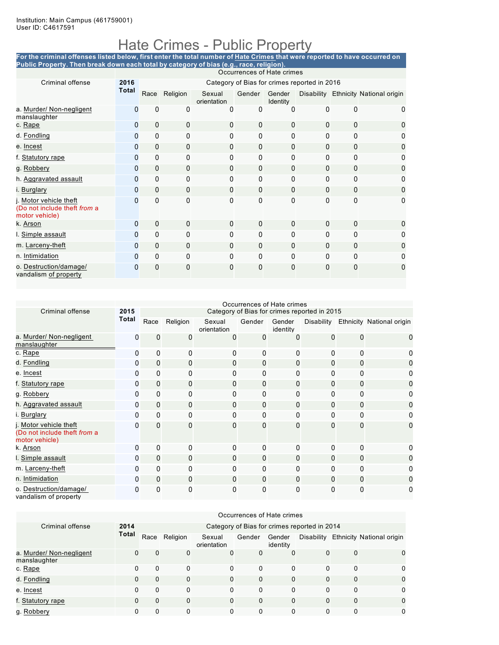## Hate Crimes - Public Property

For the criminal offenses listed below, first enter the total number of <u>Hate Crimes</u> that were reported to have occurred on **Public Property. Then break down each total by category of bias (e.g., race, religion).**

|                                                                          |              | Occurrences of Hate crimes |               |                       |              |                           |                                              |              |                                      |  |  |  |  |
|--------------------------------------------------------------------------|--------------|----------------------------|---------------|-----------------------|--------------|---------------------------|----------------------------------------------|--------------|--------------------------------------|--|--|--|--|
| Criminal offense                                                         | 2016         |                            |               |                       |              |                           | Category of Bias for crimes reported in 2016 |              |                                      |  |  |  |  |
|                                                                          | <b>Total</b> |                            | Race Religion | Sexual<br>orientation | Gender       | Gender<br><b>Identity</b> |                                              |              | Disability Ethnicity National origin |  |  |  |  |
| a. Murder/ Non-negligent<br>manslaughter                                 | 0            | 0                          | 0             | $\Omega$              | $\Omega$     | 0                         | 0                                            | $\Omega$     | 0                                    |  |  |  |  |
| c. Rape                                                                  | 0            | $\mathbf 0$                | 0             | $\mathbf 0$           | $\mathbf{0}$ | 0                         | 0                                            | $\mathbf 0$  | 0                                    |  |  |  |  |
| d. Fondling                                                              | 0            | 0                          | 0             | $\mathbf{0}$          | 0            | 0                         | 0                                            | $\Omega$     | 0                                    |  |  |  |  |
| e. Incest                                                                | 0            | 0                          | $\mathbf 0$   | $\Omega$              | $\mathbf{0}$ | 0                         | $\mathbf{0}$                                 | $\mathbf 0$  | $\mathbf 0$                          |  |  |  |  |
| f. Statutory rape                                                        | 0            | 0                          | 0             | $\Omega$              | 0            | 0                         | 0                                            | $\mathbf{0}$ | 0                                    |  |  |  |  |
| g. Robbery                                                               | 0            | $\Omega$                   | $\Omega$      | $\Omega$              | $\Omega$     | $\mathbf{0}$              | $\mathbf{0}$                                 | $\Omega$     | 0                                    |  |  |  |  |
| h. Aggravated assault                                                    | 0            | $\Omega$                   | $\Omega$      | $\Omega$              | 0            | $\Omega$                  | $\Omega$                                     | $\Omega$     | 0                                    |  |  |  |  |
| i. Burglary                                                              | 0            | $\Omega$                   | $\mathbf{0}$  | $\Omega$              | $\mathbf{0}$ | $\Omega$                  | $\Omega$                                     | $\Omega$     | 0                                    |  |  |  |  |
| j. Motor vehicle theft<br>(Do not include theft from a<br>motor vehicle) | O            | 0                          | 0             | $\mathbf{0}$          | $\mathbf{0}$ | 0                         | 0                                            | 0            | 0                                    |  |  |  |  |
| k. Arson                                                                 | 0            | $\mathbf 0$                | $\Omega$      | $\Omega$              | $\Omega$     | $\mathbf{0}$              | $\mathbf{0}$                                 | $\mathbf 0$  | 0                                    |  |  |  |  |
| I. Simple assault                                                        | 0            | $\Omega$                   | $\Omega$      | $\mathbf{0}$          | 0            | 0                         | 0                                            | $\mathbf{0}$ | 0                                    |  |  |  |  |
| m. Larceny-theft                                                         | 0            | $\mathbf 0$                | $\mathbf{0}$  | $\mathbf{0}$          | $\mathbf{0}$ | $\Omega$                  | $\Omega$                                     | $\mathbf{0}$ | 0                                    |  |  |  |  |
| n. Intimidation                                                          | 0            | $\Omega$                   | $\mathbf 0$   | $\Omega$              | $\Omega$     | $\Omega$                  | $\Omega$                                     | $\mathbf{0}$ | 0                                    |  |  |  |  |
| o. Destruction/damage/<br>vandalism of property                          | 0            | 0                          | 0             | 0                     | $\Omega$     | 0                         | $\Omega$                                     | 0            | 0                                    |  |  |  |  |

|                                                                          |              | Occurrences of Hate crimes |              |                       |              |                    |                                              |              |                                      |  |  |
|--------------------------------------------------------------------------|--------------|----------------------------|--------------|-----------------------|--------------|--------------------|----------------------------------------------|--------------|--------------------------------------|--|--|
| Criminal offense                                                         | 2015         |                            |              |                       |              |                    | Category of Bias for crimes reported in 2015 |              |                                      |  |  |
|                                                                          | Total        | Race                       | Religion     | Sexual<br>orientation | Gender       | Gender<br>identity |                                              |              | Disability Ethnicity National origin |  |  |
| a. Murder/ Non-negligent<br>manslaughter                                 | $\mathbf{0}$ | $\mathbf 0$                | 0            | 0                     | 0            | 0                  | 0                                            | $\mathbf{0}$ | 0                                    |  |  |
| c. Rape                                                                  | $\mathbf{0}$ | $\mathbf{0}$               | $\mathbf{0}$ | $\Omega$              | 0            | 0                  | 0                                            | $\Omega$     | 0                                    |  |  |
| d. Fondling                                                              | $\mathbf{0}$ | $\mathbf{0}$               | $\mathbf{0}$ | $\Omega$              | $\mathbf{0}$ | $\Omega$           | 0                                            | $\mathbf{0}$ | 0                                    |  |  |
| e. Incest                                                                | $\mathbf{0}$ | $\mathbf{0}$               | $\Omega$     | $\Omega$              | $\mathbf{0}$ | $\Omega$           | 0                                            | $\Omega$     | 0                                    |  |  |
| f. Statutory rape                                                        | $\mathbf{0}$ | $\mathbf 0$                | $\mathbf 0$  | $\Omega$              | $\mathbf{0}$ | $\mathbf{0}$       | $\Omega$                                     | $\mathbf{0}$ | 0                                    |  |  |
| g. Robbery                                                               | $\mathbf{0}$ | $\mathbf{0}$               | $\mathbf{0}$ | $\mathbf{0}$          | $\mathbf{0}$ | 0                  | 0                                            | 0            | 0                                    |  |  |
| h. Aggravated assault                                                    | $\mathbf{0}$ | $\mathbf{0}$               | $\mathbf{0}$ | $\Omega$              | $\mathbf{0}$ | $\mathbf{0}$       | 0                                            | 0            | 0                                    |  |  |
| i. Burglary                                                              | $\Omega$     | $\mathbf{0}$               | $\mathbf{0}$ | $\Omega$              | 0            | $\Omega$           | 0                                            | $\Omega$     | 0                                    |  |  |
| j. Motor vehicle theft<br>(Do not include theft from a<br>motor vehicle) | $\Omega$     | $\mathbf{0}$               | $\mathbf{0}$ | $\mathbf{0}$          | $\mathbf{0}$ | $\Omega$           | $\mathbf{0}$                                 | $\Omega$     | 0                                    |  |  |
| k. Arson                                                                 | $\mathbf{0}$ | $\mathbf{0}$               | $\mathbf{0}$ | 0                     | $\mathbf{0}$ | 0                  | $\mathbf{0}$                                 | 0            | 0                                    |  |  |
| I. Simple assault                                                        | $\mathbf{0}$ | $\mathbf{0}$               | $\mathbf{0}$ | $\Omega$              | $\mathbf{0}$ | $\mathbf{0}$       | $\Omega$                                     | $\mathbf{0}$ | 0                                    |  |  |
| m. Larceny-theft                                                         | $\mathbf{0}$ | $\mathbf{0}$               | $\Omega$     | $\Omega$              | $\mathbf{0}$ | 0                  | 0                                            | $\Omega$     | 0                                    |  |  |
| n. Intimidation                                                          | $\Omega$     | $\mathbf{0}$               | $\mathbf{0}$ | $\Omega$              | $\Omega$     | $\mathbf{0}$       | $\Omega$                                     | $\mathbf{0}$ | 0                                    |  |  |
| o. Destruction/damage/<br>vandalism of property                          | $\mathbf{0}$ | 0                          | $\mathbf{0}$ | 0                     | $\mathbf 0$  | 0                  | 0                                            | 0            | 0                                    |  |  |

|                                          |          | Occurrences of Hate crimes |          |                       |             |                    |                                              |          |                                  |  |  |  |
|------------------------------------------|----------|----------------------------|----------|-----------------------|-------------|--------------------|----------------------------------------------|----------|----------------------------------|--|--|--|
| Criminal offense                         | 2014     |                            |          |                       |             |                    | Category of Bias for crimes reported in 2014 |          |                                  |  |  |  |
|                                          | Total    | Race                       | Religion | Sexual<br>orientation | Gender      | Gender<br>identity | Disability                                   |          | <b>Ethnicity National origin</b> |  |  |  |
| a. Murder/ Non-negligent<br>manslaughter | 0        | $\Omega$                   | 0        | $\Omega$              | $\mathbf 0$ | $\Omega$           | $\Omega$                                     | $\Omega$ | $\Omega$                         |  |  |  |
| c. Rape                                  | 0        | 0                          | 0        | $\Omega$              | $\Omega$    | 0                  | 0                                            | $\Omega$ | $\Omega$                         |  |  |  |
| d. Fondling                              | $\Omega$ | $\Omega$                   | $\Omega$ | $\Omega$              | $\Omega$    | $\Omega$           | $\Omega$                                     | $\Omega$ | $\Omega$                         |  |  |  |
| e. Incest                                | $\Omega$ | 0                          | 0        | $\Omega$              | $\Omega$    | $\Omega$           | 0                                            | 0        | $\Omega$                         |  |  |  |
| f. Statutory rape                        | $\Omega$ | $\Omega$                   | $\Omega$ | $\Omega$              | $\Omega$    | $\Omega$           | $\Omega$                                     | $\Omega$ | $\Omega$                         |  |  |  |
| g. Robbery                               | 0        | 0                          | 0        | 0                     | $\Omega$    | 0                  | 0                                            | $\Omega$ | $\Omega$                         |  |  |  |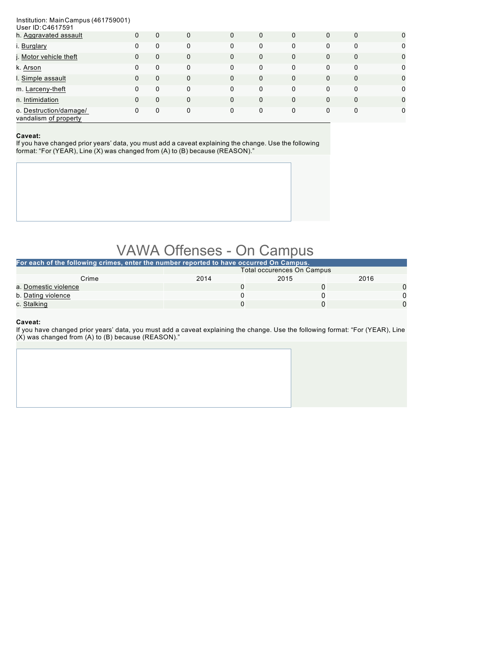#### Institution: MainCampus (461759001)  $\sim$  ID:1

| <u>USEL ID: C40 1799 I</u>                      |   |   |             |          |          |          |   |              |             |
|-------------------------------------------------|---|---|-------------|----------|----------|----------|---|--------------|-------------|
| h. Aggravated assault                           | 0 | 0 | $\mathbf 0$ | $\Omega$ | $\Omega$ | $\Omega$ | 0 | $\mathbf{0}$ | $\mathbf 0$ |
| i. Burglary                                     | 0 | 0 | 0           | $\Omega$ | 0        | 0        | 0 | 0            | $\mathbf 0$ |
| j. Motor vehicle theft                          | 0 | 0 | $\mathbf 0$ | $\Omega$ | $\Omega$ | 0        | 0 | $\Omega$     | $\mathbf 0$ |
| k. Arson                                        | 0 | 0 | 0           | $\Omega$ | 0        | 0        | 0 | $\Omega$     | $\mathbf 0$ |
| I. Simple assault                               | 0 | 0 | $\Omega$    | $\Omega$ | $\Omega$ | $\Omega$ | 0 | $\mathbf{0}$ | $\mathbf 0$ |
| m. Larceny-theft                                | 0 | 0 | $\Omega$    | $\Omega$ | $\Omega$ | 0        | 0 | $\Omega$     | $\mathbf 0$ |
| n. Intimidation                                 | 0 | 0 | $\mathbf 0$ | $\Omega$ | $\Omega$ | $\Omega$ | 0 | $\Omega$     | $\mathbf 0$ |
| o. Destruction/damage/<br>vandalism of property | 0 | 0 | $\Omega$    | $\Omega$ | 0        | 0        | 0 | $\Omega$     | $\mathbf 0$ |

#### **Caveat:**

If you have changed prior years' data, you must add a caveat explaining the change. Use the following format: "For (YEAR), Line (X) was changed from (A) to (B) because (REASON)."

### VAWA Offenses - On Campus

| For each of the following crimes, enter the number reported to have occurred On Campus. |                            |      |      |  |
|-----------------------------------------------------------------------------------------|----------------------------|------|------|--|
|                                                                                         | Total occurences On Campus |      |      |  |
| Crime                                                                                   | 2014                       | 2015 | 2016 |  |
| a. Domestic violence                                                                    |                            |      |      |  |
| b. Dating violence                                                                      |                            |      |      |  |
| c. Stalking                                                                             |                            |      |      |  |

#### **Caveat:**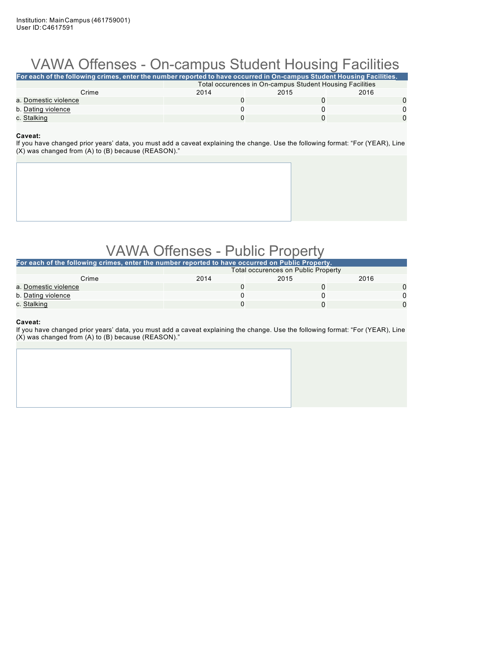## VAWA Offenses - On-campus Student Housing Facilities

| For each of the following crimes, enter the number reported to have occurred in On-campus Student Housing Facilities. |                                                          |      |      |  |  |
|-----------------------------------------------------------------------------------------------------------------------|----------------------------------------------------------|------|------|--|--|
|                                                                                                                       | Total occurences in On-campus Student Housing Facilities |      |      |  |  |
| Crime                                                                                                                 | 2014                                                     | 2015 | 2016 |  |  |
| a. Domestic violence                                                                                                  |                                                          |      |      |  |  |
| b. Dating violence                                                                                                    |                                                          |      |      |  |  |
| c. Stalking                                                                                                           |                                                          |      |      |  |  |

#### **Caveat:**

If you have changed prior years' data, you must add a caveat explaining the change. Use the following format: "For (YEAR), Line (X) was changed from (A) to (B) because (REASON)."

### VAWA Offenses - Public Property

| For each of the following crimes, enter the number reported to have occurred on Public Property. |                                            |      |      |  |  |
|--------------------------------------------------------------------------------------------------|--------------------------------------------|------|------|--|--|
|                                                                                                  | <b>Total occurences on Public Property</b> |      |      |  |  |
| Crime                                                                                            | 2014                                       | 2015 | 2016 |  |  |
| a. Domestic violence                                                                             |                                            |      |      |  |  |
| b. Dating violence                                                                               |                                            |      |      |  |  |
| c. Stalking                                                                                      |                                            |      |      |  |  |

#### **Caveat:**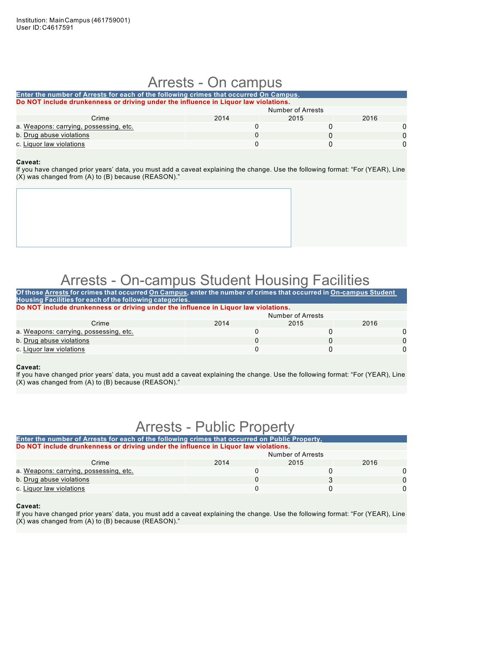### Arrests - On campus

| Enter the number of Arrests for each of the following crimes that occurred On Campus. |      |                   |      |  |  |  |
|---------------------------------------------------------------------------------------|------|-------------------|------|--|--|--|
| Do NOT include drunkenness or driving under the influence in Liguor law violations.   |      |                   |      |  |  |  |
|                                                                                       |      | Number of Arrests |      |  |  |  |
| Crime                                                                                 | 2014 | 2015              | 2016 |  |  |  |
| a. Weapons: carrying, possessing, etc.                                                |      |                   |      |  |  |  |
| b. Drug abuse violations                                                              |      |                   |      |  |  |  |
| c. Liquor law violations                                                              |      |                   |      |  |  |  |

#### **Caveat:**

If you have changed prior years' data, you must add a caveat explaining the change. Use the following format: "For (YEAR), Line (X) was changed from (A) to (B) because (REASON)."



### Arrests - On-campus Student Housing Facilities

| Of those Arrests for crimes that occurred On Campus, enter the number of crimes that occurred in On-campus Student |      |                   |      |   |  |
|--------------------------------------------------------------------------------------------------------------------|------|-------------------|------|---|--|
| Housing Facilities for each of the following categories.                                                           |      |                   |      |   |  |
| Do NOT include drunkenness or driving under the influence in Liquor law violations.                                |      |                   |      |   |  |
|                                                                                                                    |      | Number of Arrests |      |   |  |
| Crime                                                                                                              | 2014 | 2015              | 2016 |   |  |
| a. Weapons: carrying, possessing, etc.                                                                             |      |                   |      | 0 |  |
| b. Drug abuse violations                                                                                           |      |                   |      |   |  |
| c. Liquor law violations                                                                                           |      |                   |      | 0 |  |

#### **Caveat:**

If you have changed prior years' data, you must add a caveat explaining the change. Use the following format: "For (YEAR), Line (X) was changed from (A) to (B) because (REASON)."

### Arrests - Public Property

| Enter the number of Arrests for each of the following crimes that occurred on Public Property. |      |      |  |  |  |
|------------------------------------------------------------------------------------------------|------|------|--|--|--|
| Do NOT include drunkenness or driving under the influence in Liquor law violations.            |      |      |  |  |  |
| Number of Arrests                                                                              |      |      |  |  |  |
| 2014                                                                                           | 2015 | 2016 |  |  |  |
|                                                                                                |      |      |  |  |  |
|                                                                                                |      |      |  |  |  |
|                                                                                                |      |      |  |  |  |
|                                                                                                |      |      |  |  |  |

#### **Caveat:**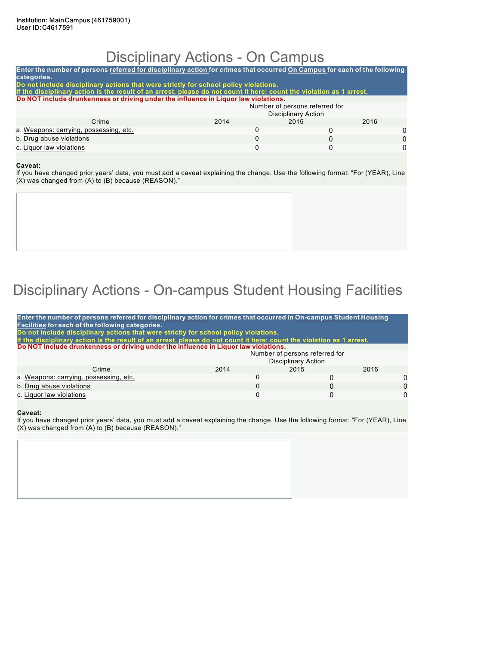### Disciplinary Actions - On Campus

| Enter the number of persons referred for disciplinary action for crimes that occurred On Campus for each of the following<br>categories.                                                                     |          |                                                              |          |   |  |
|--------------------------------------------------------------------------------------------------------------------------------------------------------------------------------------------------------------|----------|--------------------------------------------------------------|----------|---|--|
| Do not include disciplinary actions that were strictly for school policy violations.<br>If the disciplinary action is the result of an arrest, please do not count it here; count the violation as 1 arrest. |          |                                                              |          |   |  |
| Do NOT include drunkenness or driving under the influence in Liquor law violations.                                                                                                                          |          |                                                              |          |   |  |
|                                                                                                                                                                                                              |          | Number of persons referred for<br><b>Disciplinary Action</b> |          |   |  |
| Crime                                                                                                                                                                                                        | 2014     | 2015                                                         | 2016     |   |  |
| a. Weapons: carrying, possessing, etc.                                                                                                                                                                       | 0        |                                                              |          | 0 |  |
| b. Drug abuse violations                                                                                                                                                                                     | $\Omega$ |                                                              | $\Omega$ | O |  |
| c. Liquor law violations                                                                                                                                                                                     | 0        |                                                              |          | ŋ |  |
|                                                                                                                                                                                                              |          |                                                              |          |   |  |

#### **Caveat:**

If you have changed prior years' data, you must add a caveat explaining the change. Use the following format: "For (YEAR), Line (X) was changed from (A) to (B) because (REASON)."

# Disciplinary Actions - On-campus Student Housing Facilities

| Enter the number of persons referred for disciplinary action for crimes that occurred in On-campus Student Housing<br>Facilities for each of the following categories.<br>Do not include disciplinary actions that were strictly for school policy violations.<br>If the disciplinary action is the result of an arrest, please do not count it here; count the violation as 1 arrest. |          |                            |          |  |
|----------------------------------------------------------------------------------------------------------------------------------------------------------------------------------------------------------------------------------------------------------------------------------------------------------------------------------------------------------------------------------------|----------|----------------------------|----------|--|
| Do NOT include drunkenness or driving under the influence in Liquor law violations.                                                                                                                                                                                                                                                                                                    |          |                            |          |  |
| Number of persons referred for                                                                                                                                                                                                                                                                                                                                                         |          |                            |          |  |
|                                                                                                                                                                                                                                                                                                                                                                                        |          | <b>Disciplinary Action</b> |          |  |
| Crime                                                                                                                                                                                                                                                                                                                                                                                  | 2014     | 2015                       | 2016     |  |
| a. Weapons: carrying, possessing, etc.                                                                                                                                                                                                                                                                                                                                                 | 0        |                            | ∩        |  |
| b. Drug abuse violations                                                                                                                                                                                                                                                                                                                                                               | $\Omega$ |                            | $\Omega$ |  |
| c. Liquor law violations                                                                                                                                                                                                                                                                                                                                                               | $\Omega$ |                            | U        |  |
|                                                                                                                                                                                                                                                                                                                                                                                        |          |                            |          |  |

#### **Caveat:**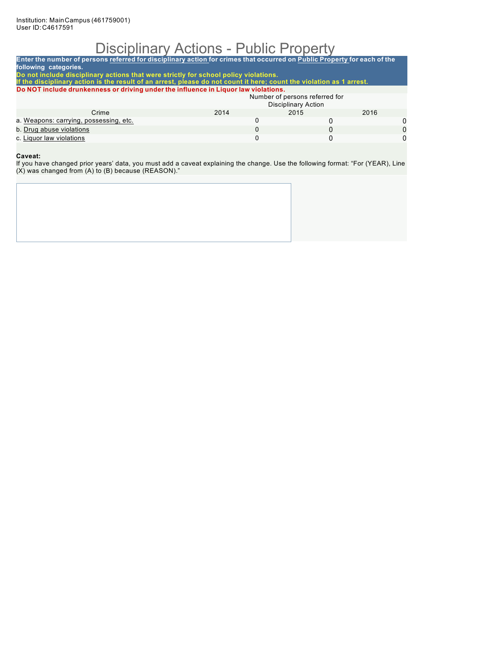## Disciplinary Actions - Public Property

| Enter the number of persons referred for disciplinary action for crimes that occurred on Public Property for each of the<br>following categories. |      |                                |      |   |
|---------------------------------------------------------------------------------------------------------------------------------------------------|------|--------------------------------|------|---|
| Do not include disciplinary actions that were strictly for school policy violations.                                                              |      |                                |      |   |
| If the disciplinary action is the result of an arrest, please do not count it here; count the violation as 1 arrest.                              |      |                                |      |   |
| Do NOT include drunkenness or driving under the influence in Liguor law violations.                                                               |      |                                |      |   |
|                                                                                                                                                   |      | Number of persons referred for |      |   |
|                                                                                                                                                   |      | <b>Disciplinary Action</b>     |      |   |
| Crime                                                                                                                                             | 2014 | 2015                           | 2016 |   |
| a. Weapons: carrying, possessing, etc.                                                                                                            | 0    | 0                              |      | 0 |
| b. Drug abuse violations                                                                                                                          | 0    | 0                              |      | O |
| c. Liquor law violations                                                                                                                          | 0    | 0                              |      | 0 |
|                                                                                                                                                   |      |                                |      |   |

#### **Caveat:**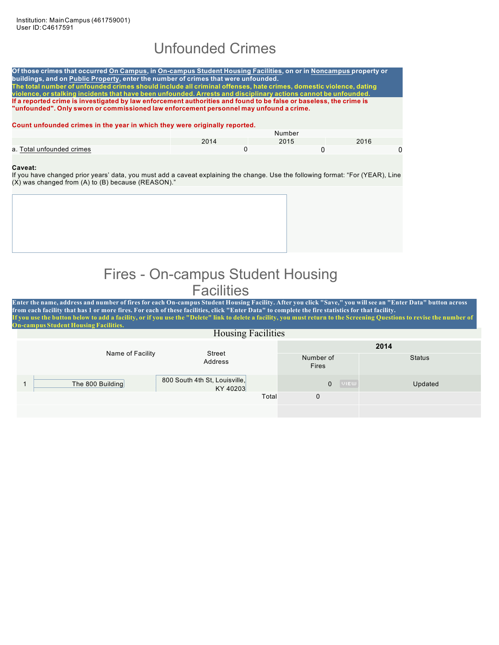### Unfounded Crimes

Of those crimes that occurred On Campus, in On-campus Student Housing Facilities, on or in Noncampus property or **buildings, and on Public Property, enter the number of crimes that were unfounded.** The total number of unfounded crimes should include all criminal offenses, hate crimes, domestic violence, dating **violence, or stalking incidents that have been unfounded. Arrests and disciplinary actions cannot be unfounded.** If a reported crime is investigated by law enforcement authorities and found to be false or baseless, the crime is **"unfounded". Only sworn or commissioned law enforcement personnel may unfound a crime.**

#### **Count unfounded crimes in the year in which they were originally reported.**

|                           | Number |      |      |  |
|---------------------------|--------|------|------|--|
|                           | 2011   | 2015 | 2016 |  |
| a. Total unfounded crimes |        |      |      |  |

#### **Caveat:**

If you have changed prior years' data, you must add a caveat explaining the change. Use the following format: "For (YEAR), Line (X) was changed from (A) to (B) because (REASON)."

### Fires - On-campus Student Housing **Facilities**

Enter the name, address and number of fires for each On-campus Student Housing Facility. After you click "Save," you will see an "Enter Data" button across from each facility that has 1 or more fires. For each of these facilities, click "Enter Data" to complete the fire statistics for that facility. f you use the button below to add a facility, or if you use the "Delete" link to delete a facility, you must return to the Screening Questions to revise the number of **On-campus Student Housing Facilities.**

| <b>Housing Facilities</b> |                                           |                             |               |  |  |
|---------------------------|-------------------------------------------|-----------------------------|---------------|--|--|
|                           | Street                                    |                             | 2014          |  |  |
| Name of Facility          | Address                                   | Number of<br>Fires          | <b>Status</b> |  |  |
| The 800 Building          | 800 South 4th St, Louisville,<br>KY 40203 | <b>UIEW</b><br>$\mathbf{0}$ | Updated       |  |  |
|                           | Total                                     | $\mathbf 0$                 |               |  |  |
|                           |                                           |                             |               |  |  |